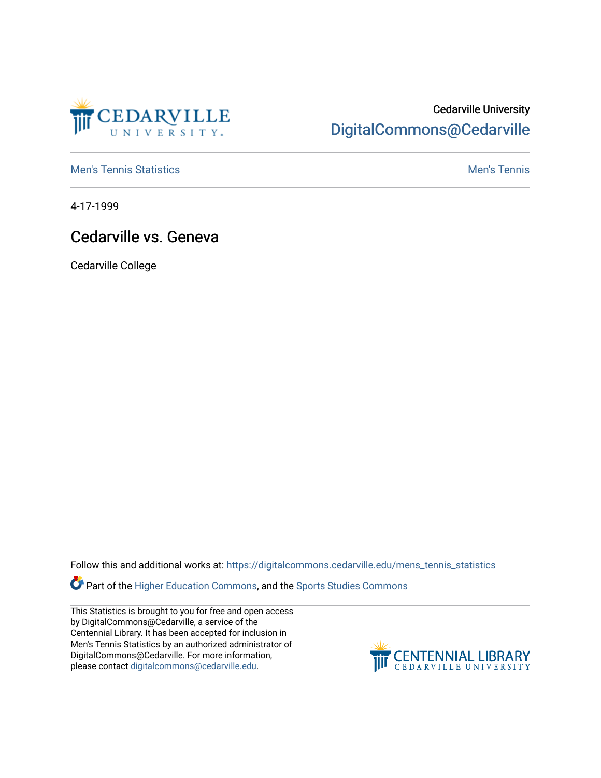

## Cedarville University [DigitalCommons@Cedarville](https://digitalcommons.cedarville.edu/)

**[Men's Tennis Statistics](https://digitalcommons.cedarville.edu/mens_tennis_statistics) Mental According to the Control of Control According Mental Men's Tennis** 

4-17-1999

## Cedarville vs. Geneva

Cedarville College

Follow this and additional works at: [https://digitalcommons.cedarville.edu/mens\\_tennis\\_statistics](https://digitalcommons.cedarville.edu/mens_tennis_statistics?utm_source=digitalcommons.cedarville.edu%2Fmens_tennis_statistics%2F423&utm_medium=PDF&utm_campaign=PDFCoverPages)

**Part of the [Higher Education Commons,](http://network.bepress.com/hgg/discipline/1245?utm_source=digitalcommons.cedarville.edu%2Fmens_tennis_statistics%2F423&utm_medium=PDF&utm_campaign=PDFCoverPages) and the Sports Studies Commons** 

This Statistics is brought to you for free and open access by DigitalCommons@Cedarville, a service of the Centennial Library. It has been accepted for inclusion in Men's Tennis Statistics by an authorized administrator of DigitalCommons@Cedarville. For more information, please contact [digitalcommons@cedarville.edu](mailto:digitalcommons@cedarville.edu).